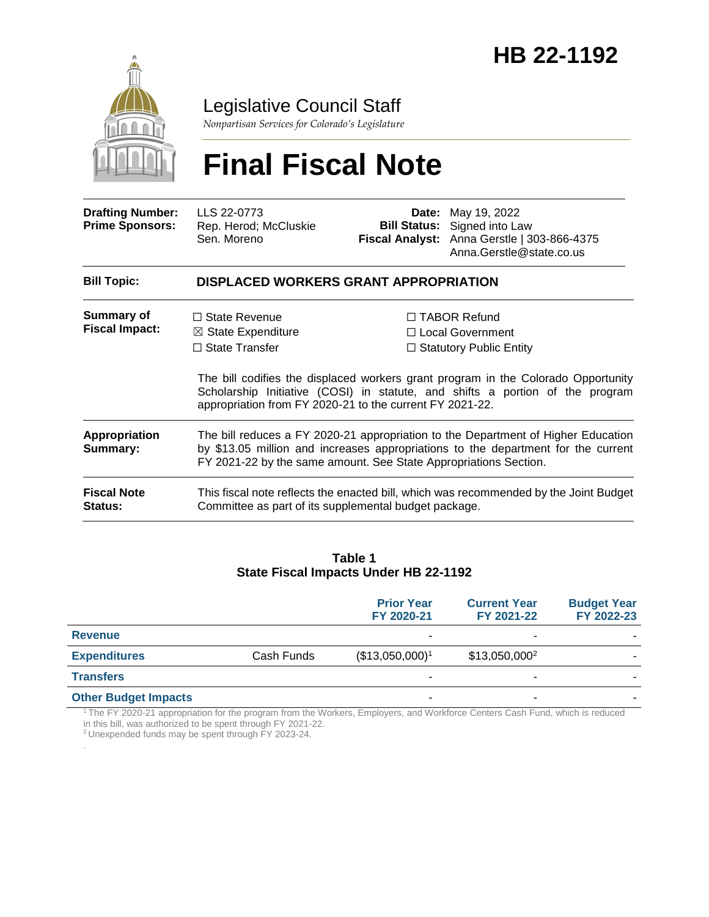

Legislative Council Staff

*Nonpartisan Services for Colorado's Legislature*

# **Final Fiscal Note**

| <b>Drafting Number:</b><br><b>Prime Sponsors:</b> | LLS 22-0773<br>Rep. Herod; McCluskie<br>Sen. Moreno                                                                                                                                                                                        |                                                                                  | <b>Date:</b> May 19, 2022<br><b>Bill Status:</b> Signed into Law<br>Fiscal Analyst: Anna Gerstle   303-866-4375<br>Anna.Gerstle@state.co.us |  |  |
|---------------------------------------------------|--------------------------------------------------------------------------------------------------------------------------------------------------------------------------------------------------------------------------------------------|----------------------------------------------------------------------------------|---------------------------------------------------------------------------------------------------------------------------------------------|--|--|
| <b>Bill Topic:</b>                                | DISPLACED WORKERS GRANT APPROPRIATION                                                                                                                                                                                                      |                                                                                  |                                                                                                                                             |  |  |
| <b>Summary of</b><br><b>Fiscal Impact:</b>        | $\Box$ State Revenue<br>$\boxtimes$ State Expenditure<br>$\Box$ State Transfer                                                                                                                                                             | $\Box$ TABOR Refund<br>$\Box$ Local Government<br>$\Box$ Statutory Public Entity |                                                                                                                                             |  |  |
|                                                   | The bill codifies the displaced workers grant program in the Colorado Opportunity<br>Scholarship Initiative (COSI) in statute, and shifts a portion of the program<br>appropriation from FY 2020-21 to the current FY 2021-22.             |                                                                                  |                                                                                                                                             |  |  |
| Appropriation<br>Summary:                         | The bill reduces a FY 2020-21 appropriation to the Department of Higher Education<br>by \$13.05 million and increases appropriations to the department for the current<br>FY 2021-22 by the same amount. See State Appropriations Section. |                                                                                  |                                                                                                                                             |  |  |
| <b>Fiscal Note</b><br><b>Status:</b>              | This fiscal note reflects the enacted bill, which was recommended by the Joint Budget<br>Committee as part of its supplemental budget package.                                                                                             |                                                                                  |                                                                                                                                             |  |  |

#### **Table 1 State Fiscal Impacts Under HB 22-1192**

|                             |            | <b>Prior Year</b><br>FY 2020-21 | <b>Current Year</b><br>FY 2021-22 | <b>Budget Year</b><br>FY 2022-23 |
|-----------------------------|------------|---------------------------------|-----------------------------------|----------------------------------|
| <b>Revenue</b>              |            | ۰                               |                                   |                                  |
| <b>Expenditures</b>         | Cash Funds | (\$13,050,000) <sup>1</sup>     | \$13,050,000 <sup>2</sup>         |                                  |
| <b>Transfers</b>            |            |                                 | -                                 |                                  |
| <b>Other Budget Impacts</b> |            | ۰                               | -                                 |                                  |

<sup>1</sup>The FY 2020-21 appropriation for the program from the Workers, Employers, and Workforce Centers Cash Fund, which is reduced in this bill, was authorized to be spent through FY 2021-22.

<sup>2</sup>Unexpended funds may be spent through FY 2023-24.

.